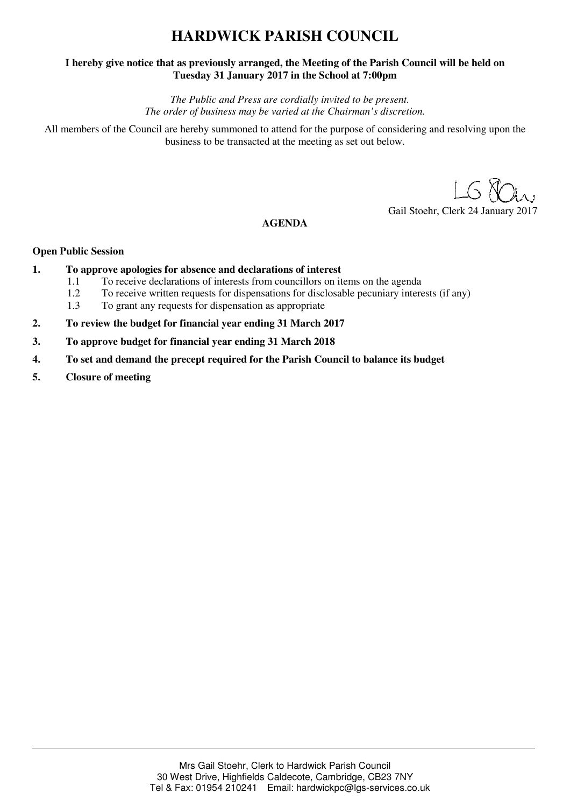# **HARDWICK PARISH COUNCIL**

## **I hereby give notice that as previously arranged, the Meeting of the Parish Council will be held on Tuesday 31 January 2017 in the School at 7:00pm**

*The Public and Press are cordially invited to be present. The order of business may be varied at the Chairman's discretion.* 

All members of the Council are hereby summoned to attend for the purpose of considering and resolving upon the business to be transacted at the meeting as set out below.

Gail Stoehr, Clerk 24 January 2017

## **AGENDA**

### **Open Public Session**

- **1. To approve apologies for absence and declarations of interest 11 To receive declarations of interests from councillors on it.** 
	- 1.1 To receive declarations of interests from councillors on items on the agenda
	- 1.2 To receive written requests for dispensations for disclosable pecuniary interests (if any)
	- 1.3 To grant any requests for dispensation as appropriate
- **2. To review the budget for financial year ending 31 March 2017**
- **3. To approve budget for financial year ending 31 March 2018**
- **4. To set and demand the precept required for the Parish Council to balance its budget**
- **5. Closure of meeting**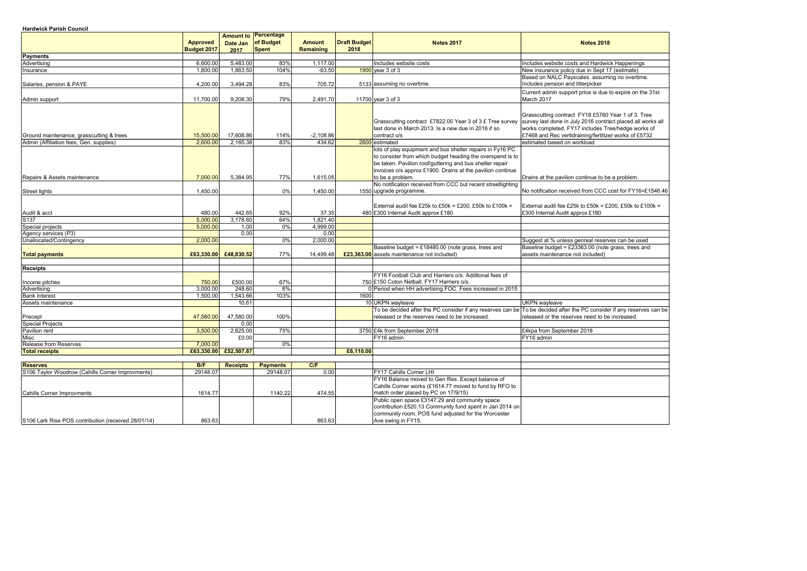| <b>Hardwick Parish Council</b> |  |
|--------------------------------|--|
|                                |  |

|                                                     | <b>Approved</b> |                       | <b>Amount to Percentage</b><br>Date Jan of Budget | <b>Amount</b>    | Draft Budget | <b>Notes 2017</b>                                           | <b>Notes 2018</b>                                                                                                     |
|-----------------------------------------------------|-----------------|-----------------------|---------------------------------------------------|------------------|--------------|-------------------------------------------------------------|-----------------------------------------------------------------------------------------------------------------------|
|                                                     | Budget 2017     | 2017                  | Spent                                             | <b>Remaining</b> | 2018         |                                                             |                                                                                                                       |
| Payments                                            |                 |                       |                                                   |                  |              |                                                             |                                                                                                                       |
| Advertising                                         | 6,600.00        | 5,483.00              | 83%                                               | 1,117.00         |              | Includes website costs                                      | Includes website costs and Hardwick Happenings                                                                        |
| Insurance                                           | 1,800.00        | 1,863.50              | 104%                                              | $-63.50$         |              | $1900$ year 3 of 3                                          | New insurance policy due in Sept 17 (estimate)                                                                        |
|                                                     |                 |                       |                                                   |                  |              |                                                             | Based on NALC Payscales. assuming no overtime.                                                                        |
| Salaries, pension & PAYE                            | 4,200.00        | 3,494.28              | 83%                                               | 705.72           |              | 5133 assuming no overtime.                                  | Includes pension and litterpicker                                                                                     |
|                                                     |                 |                       |                                                   |                  |              |                                                             | Current admin support price is due to expire on the 31st                                                              |
| Admin support                                       | 11,700.00       | 9,208.30              | 79%                                               | 2,491.70         |              | 11700 year 3 of 3                                           | March 2017                                                                                                            |
|                                                     |                 |                       |                                                   |                  |              |                                                             |                                                                                                                       |
|                                                     |                 |                       |                                                   |                  |              |                                                             |                                                                                                                       |
|                                                     |                 |                       |                                                   |                  |              |                                                             | Grasscutting contract FY18 £5760 Year 1 of 3. Tree                                                                    |
|                                                     |                 |                       |                                                   |                  |              | Grasscutting contract £7822.00 Year 3 of 3 £ Tree survey    | survey last done in July 2016 contract placed all works all                                                           |
|                                                     |                 |                       |                                                   |                  |              | last done in March 2013. Is a new due in 2016 if so         | works completed. FY17 includes Tree/hedge works of                                                                    |
| Ground maintenance, grasscutting & trees            | 15,500.00       | 17,608.86             | 114%                                              | $-2,108.86$      |              | contract o/s                                                | £7468 and Rec vertidraining/fertilizer works of £5732                                                                 |
| Admin (Affiliation fees, Gen. supplies)             | 2,600.00        | 2,165.38              | 83%                                               | 434.62           |              | 2600 estimated                                              | estimated based on workload                                                                                           |
|                                                     |                 |                       |                                                   |                  |              | lots of play equipment and bus shelter repairs in Fy16 PC   |                                                                                                                       |
|                                                     |                 |                       |                                                   |                  |              | to consider from which budget heading the overspend is to   |                                                                                                                       |
|                                                     |                 |                       |                                                   |                  |              | be taken. Pavilion roof/guttering and bus shelter repair    |                                                                                                                       |
|                                                     |                 |                       |                                                   |                  |              | invoices o/s approx £1900. Drains at the pavilion continue  |                                                                                                                       |
| Repairs & Assets maintenance                        | 7,000.00        | 5,384.95              | 77%                                               | 1,615.05         |              | to be a problem.                                            | Drains at the pavilion continue to be a problem.                                                                      |
|                                                     |                 |                       |                                                   |                  |              | No notification received from CCC but recent streetlighting |                                                                                                                       |
| Street lights                                       | 1,450.00        |                       | 0%                                                | 1,450.00         |              | 1550 upgrade programme.                                     | No notification received from CCC cost for FY16=£1546.46                                                              |
|                                                     |                 |                       |                                                   |                  |              |                                                             |                                                                                                                       |
|                                                     |                 |                       |                                                   |                  |              | External audit fee £25k to £50k = £200, £50k to £100k =     | External audit fee £25k to £50k = £200, £50k to £100k =                                                               |
| Audit & acct                                        | 480.00          | 442.65                | 92%                                               | 37.35            |              | 480 £300 Internal Audit approx £180                         | £300 Internal Audit approx £180                                                                                       |
| S <sub>137</sub>                                    | 5,000.00        | 3,178.60              | 64%                                               | 1,821.40         |              |                                                             |                                                                                                                       |
| Special projects                                    | 5,000.00        | 1.00                  | 0%                                                | 4,999.00         |              |                                                             |                                                                                                                       |
| Agency services (P3)                                |                 | 0.00                  |                                                   | 0.00             |              |                                                             |                                                                                                                       |
| Unallocated/Contingency                             | 2,000.00        |                       | 0%                                                | 2,000.00         |              |                                                             | Suggest at % unless genreal reserves can be used                                                                      |
|                                                     |                 |                       |                                                   |                  |              | Baseline budget = £18480.00 (note grass, trees and          | Baseline budget = £23363.00 (note grass, trees and                                                                    |
| <b>Total payments</b>                               |                 | £63,330.00 £48,830.52 | 77%                                               | 14,499.48        |              | £23,363.00 assets maintenance not included)                 | assets maintenance not included)                                                                                      |
|                                                     |                 |                       |                                                   |                  |              |                                                             |                                                                                                                       |
| <b>Receipts</b>                                     |                 |                       |                                                   |                  |              |                                                             |                                                                                                                       |
|                                                     |                 |                       |                                                   |                  |              | FY16 Football Club and Harriers o/s. Additonal fees of      |                                                                                                                       |
| Income pitches                                      | 750.00          | £500.00               | 67%                                               |                  |              | 750 £150 Coton Netball. FY17 Harriers o/s.                  |                                                                                                                       |
| Advertising                                         | 3,000.00        | 248.60                | 8%                                                |                  |              | 0 Period when HH advertising FOC. Fees increased in 2015    |                                                                                                                       |
| <b>Bank Interest</b>                                | 1,500.00        | 1,543.66              | 103%                                              |                  | 1600l        |                                                             |                                                                                                                       |
| Assets maintenance                                  |                 | 10.61                 |                                                   |                  |              | 10 UKPN wayleave                                            | <b>UKPN</b> wayleave                                                                                                  |
|                                                     |                 |                       |                                                   |                  |              |                                                             | To be decided after the PC consider if any reserves can be To be decided after the PC consider if any reserves can be |
| Precept                                             | 47,580.00       | 47,580.00             | 100%                                              |                  |              | released or the reserves need to be increased.              | released or the reserves need to be increased.                                                                        |
| Special Projects                                    |                 | 0.00                  |                                                   |                  |              |                                                             |                                                                                                                       |
| Pavilion rent                                       | 3,500.00        | 2,625.00              | 75%                                               |                  |              | 3750 £4k from September 2018                                | £4kpa from September 2018                                                                                             |
| Misc                                                |                 | £0.00                 |                                                   |                  |              | FY16 admin                                                  | FY16 admin                                                                                                            |
| <b>Release from Reserves</b>                        | 7,000.00        |                       | 0%                                                |                  |              |                                                             |                                                                                                                       |
| <b>Total receipts</b>                               |                 | £63,330.00 £52,507.87 |                                                   |                  | £6,110.00    |                                                             |                                                                                                                       |
|                                                     |                 |                       |                                                   |                  |              |                                                             |                                                                                                                       |
| <b>Reserves</b>                                     | B/F             | <b>Receipts</b>       | <b>Payments</b>                                   | C/F              |              |                                                             |                                                                                                                       |
| S106 Taylor Woodrow (Cahills Corner Improvments)    | 29148.07        |                       | 29148.07                                          | 0.00             |              | FY17 Cahills Corner LHI                                     |                                                                                                                       |
|                                                     |                 |                       |                                                   |                  |              | FY16 Balance moved to Gen Res. Except balance of            |                                                                                                                       |
|                                                     |                 |                       |                                                   |                  |              | Cahills Corner works (£1614.77 moved to fund by RFO to      |                                                                                                                       |
| Cahills Corner Improvments                          | 1614.77         |                       | 1140.22                                           | 474.55           |              | match order placed by PC on 17/9/15)                        |                                                                                                                       |
|                                                     |                 |                       |                                                   |                  |              | Public open space £3147.29 and community space              |                                                                                                                       |
|                                                     |                 |                       |                                                   |                  |              | contribution £520.13 Community fund spent in Jan 2014 on    |                                                                                                                       |
|                                                     |                 |                       |                                                   |                  |              | community room. POS fund adjusted for the Worcester         |                                                                                                                       |
| S106 Lark Rise POS contribution (received 28/01/14) | 863.63          |                       |                                                   | 863.63           |              | Ave swing in FY15.                                          |                                                                                                                       |
|                                                     |                 |                       |                                                   |                  |              |                                                             |                                                                                                                       |

| ţ                                                                                       |
|-----------------------------------------------------------------------------------------|
|                                                                                         |
|                                                                                         |
| ck Happenings<br>7 (estimate <u>)</u>                                                   |
|                                                                                         |
| ing no overtime.                                                                        |
| to expire on the 31st                                                                   |
| Year 1 of 3. Tree<br>act placed all works all<br>ee/hedge works of<br>er works of £5732 |
|                                                                                         |
| e a problem.                                                                            |
|                                                                                         |
| cost for FY16=£1546.46                                                                  |
| 200, £50k to £100k =                                                                    |
|                                                                                         |
|                                                                                         |
|                                                                                         |
|                                                                                         |
| $\frac{1}{2}$ can be used                                                               |
| grass, trees and                                                                        |
|                                                                                         |
|                                                                                         |
|                                                                                         |
|                                                                                         |
|                                                                                         |
|                                                                                         |
| er if any reserves can be<br>e increased.                                               |
|                                                                                         |
|                                                                                         |
|                                                                                         |
|                                                                                         |
|                                                                                         |
|                                                                                         |
|                                                                                         |
|                                                                                         |
|                                                                                         |
|                                                                                         |
|                                                                                         |
|                                                                                         |